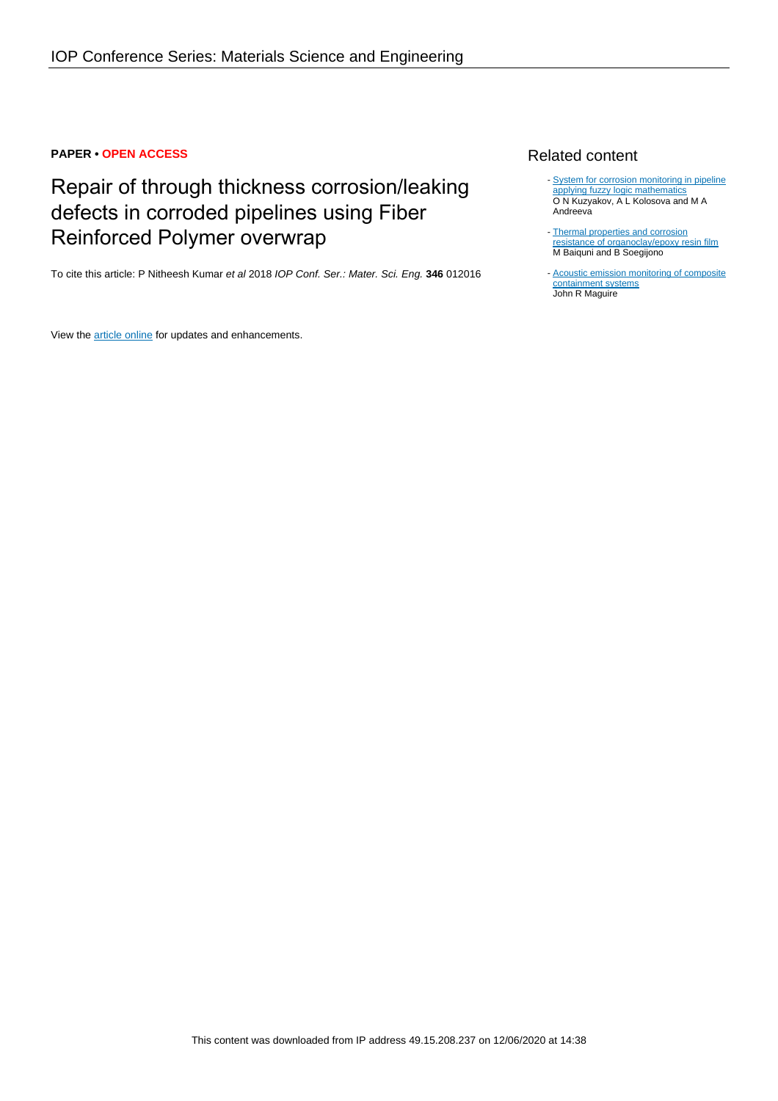## **PAPER • OPEN ACCESS**

# Repair of through thickness corrosion/leaking defects in corroded pipelines using Fiber Reinforced Polymer overwrap

To cite this article: P Nitheesh Kumar et al 2018 IOP Conf. Ser.: Mater. Sci. Eng. **346** 012016

View the **[article online](https://doi.org/10.1088/1757-899X/346/1/012016)** for updates and enhancements.

## Related content

- [System for corrosion monitoring in pipeline](http://iopscience.iop.org/article/10.1088/1742-6596/1015/5/052017) [applying fuzzy logic mathematics](http://iopscience.iop.org/article/10.1088/1742-6596/1015/5/052017) O N Kuzyakov, A L Kolosova and M A **Andreeva**
- [Thermal properties and corrosion](http://iopscience.iop.org/article/10.1088/1742-6596/985/1/012037) [resistance of organoclay/epoxy resin film](http://iopscience.iop.org/article/10.1088/1742-6596/985/1/012037) M Baiquni and B Soegijono -
- [Acoustic emission monitoring of composite](http://iopscience.iop.org/article/10.1088/1742-6596/305/1/012044) [containment systems](http://iopscience.iop.org/article/10.1088/1742-6596/305/1/012044) John R Maguire -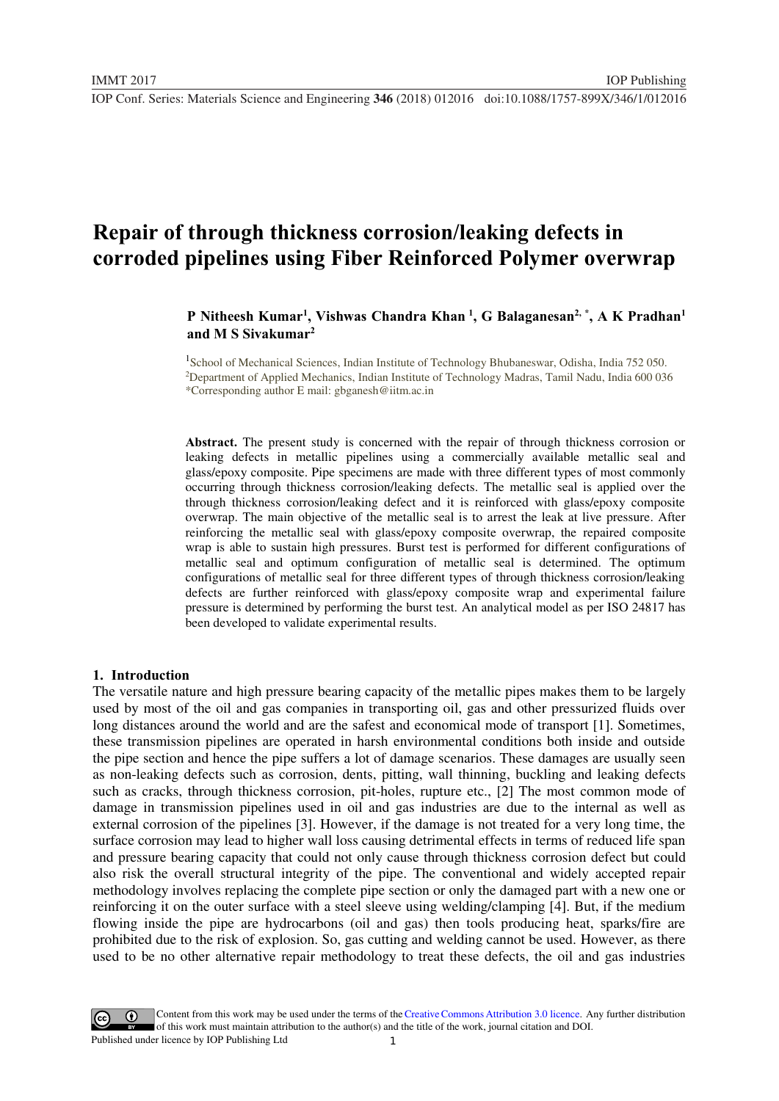## **Repair of through thickness corrosion/leaking defects in corroded pipelines using Fiber Reinforced Polymer overwrap**

## P Nitheesh Kumar<sup>1</sup>, Vishwas Chandra Khan<sup>1</sup>, G Balaganesan<sup>2, \*</sup>, A K Pradhan<sup>1</sup> **and M S Sivakumar2**

<sup>1</sup>School of Mechanical Sciences, Indian Institute of Technology Bhubaneswar, Odisha, India 752 050.<br><sup>2</sup>Department of Applied Mechanics, Indian Institute of Technology Madras, Tamil Nadu, India 600.036 <sup>2</sup>Department of Applied Mechanics, Indian Institute of Technology Madras, Tamil Nadu, India 600 036 \*Corresponding author E mail: gbganesh@iitm.ac.in

**Abstract.** The present study is concerned with the repair of through thickness corrosion or leaking defects in metallic pipelines using a commercially available metallic seal and glass/epoxy composite. Pipe specimens are made with three different types of most commonly occurring through thickness corrosion/leaking defects. The metallic seal is applied over the through thickness corrosion/leaking defect and it is reinforced with glass/epoxy composite overwrap. The main objective of the metallic seal is to arrest the leak at live pressure. After reinforcing the metallic seal with glass/epoxy composite overwrap, the repaired composite wrap is able to sustain high pressures. Burst test is performed for different configurations of metallic seal and optimum configuration of metallic seal is determined. The optimum configurations of metallic seal for three different types of through thickness corrosion/leaking defects are further reinforced with glass/epoxy composite wrap and experimental failure pressure is determined by performing the burst test. An analytical model as per ISO 24817 has been developed to validate experimental results.

#### **1. Introduction**

The versatile nature and high pressure bearing capacity of the metallic pipes makes them to be largely used by most of the oil and gas companies in transporting oil, gas and other pressurized fluids over long distances around the world and are the safest and economical mode of transport [1]. Sometimes, these transmission pipelines are operated in harsh environmental conditions both inside and outside the pipe section and hence the pipe suffers a lot of damage scenarios. These damages are usually seen as non-leaking defects such as corrosion, dents, pitting, wall thinning, buckling and leaking defects such as cracks, through thickness corrosion, pit-holes, rupture etc., [2] The most common mode of damage in transmission pipelines used in oil and gas industries are due to the internal as well as external corrosion of the pipelines [3]. However, if the damage is not treated for a very long time, the surface corrosion may lead to higher wall loss causing detrimental effects in terms of reduced life span and pressure bearing capacity that could not only cause through thickness corrosion defect but could also risk the overall structural integrity of the pipe. The conventional and widely accepted repair methodology involves replacing the complete pipe section or only the damaged part with a new one or reinforcing it on the outer surface with a steel sleeve using welding/clamping [4]. But, if the medium flowing inside the pipe are hydrocarbons (oil and gas) then tools producing heat, sparks/fire are prohibited due to the risk of explosion. So, gas cutting and welding cannot be used. However, as there used to be no other alternative repair methodology to treat these defects, the oil and gas industries

1 Content from this work may be used under the terms of the[Creative Commons Attribution 3.0 licence.](http://creativecommons.org/licenses/by/3.0) Any further distribution of this work must maintain attribution to the author(s) and the title of the work, journal citation and DOI. Published under licence by IOP Publishing Ltd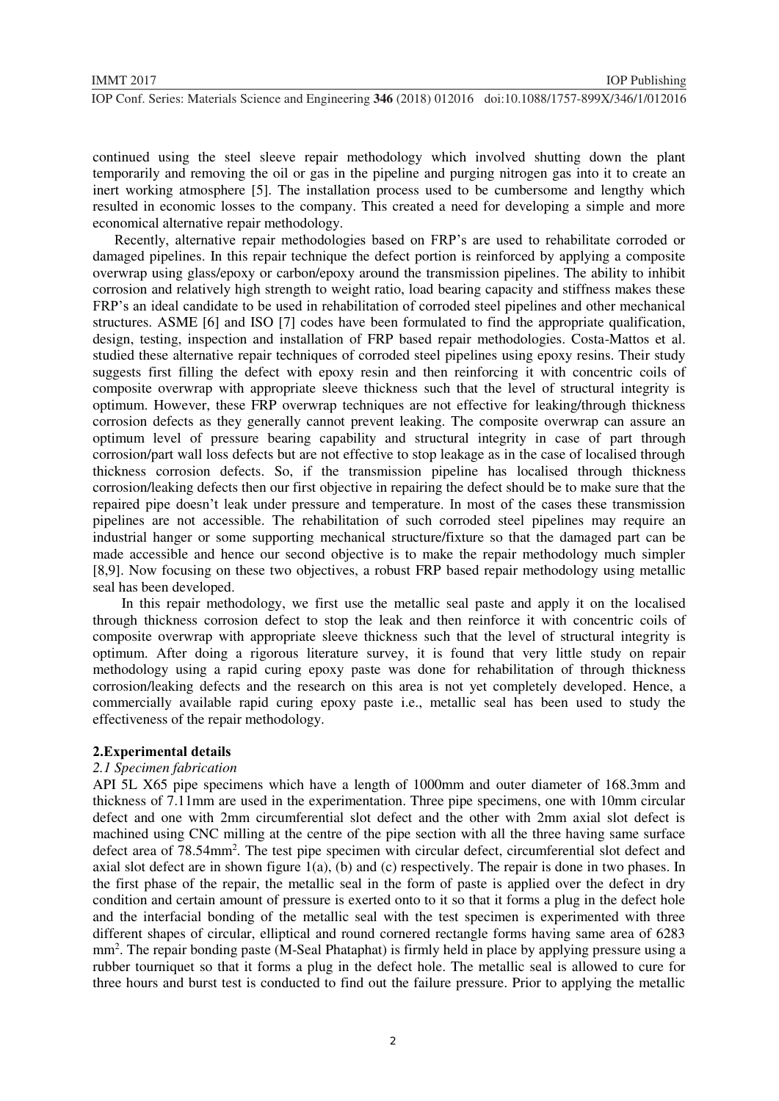continued using the steel sleeve repair methodology which involved shutting down the plant temporarily and removing the oil or gas in the pipeline and purging nitrogen gas into it to create an inert working atmosphere [5]. The installation process used to be cumbersome and lengthy which resulted in economic losses to the company. This created a need for developing a simple and more economical alternative repair methodology.

 Recently, alternative repair methodologies based on FRP's are used to rehabilitate corroded or damaged pipelines. In this repair technique the defect portion is reinforced by applying a composite overwrap using glass/epoxy or carbon/epoxy around the transmission pipelines. The ability to inhibit corrosion and relatively high strength to weight ratio, load bearing capacity and stiffness makes these FRP's an ideal candidate to be used in rehabilitation of corroded steel pipelines and other mechanical structures. ASME [6] and ISO [7] codes have been formulated to find the appropriate qualification, design, testing, inspection and installation of FRP based repair methodologies. Costa-Mattos et al. studied these alternative repair techniques of corroded steel pipelines using epoxy resins. Their study suggests first filling the defect with epoxy resin and then reinforcing it with concentric coils of composite overwrap with appropriate sleeve thickness such that the level of structural integrity is optimum. However, these FRP overwrap techniques are not effective for leaking/through thickness corrosion defects as they generally cannot prevent leaking. The composite overwrap can assure an optimum level of pressure bearing capability and structural integrity in case of part through corrosion/part wall loss defects but are not effective to stop leakage as in the case of localised through thickness corrosion defects. So, if the transmission pipeline has localised through thickness corrosion/leaking defects then our first objective in repairing the defect should be to make sure that the repaired pipe doesn't leak under pressure and temperature. In most of the cases these transmission pipelines are not accessible. The rehabilitation of such corroded steel pipelines may require an industrial hanger or some supporting mechanical structure/fixture so that the damaged part can be made accessible and hence our second objective is to make the repair methodology much simpler [8,9]. Now focusing on these two objectives, a robust FRP based repair methodology using metallic seal has been developed.

 In this repair methodology, we first use the metallic seal paste and apply it on the localised through thickness corrosion defect to stop the leak and then reinforce it with concentric coils of composite overwrap with appropriate sleeve thickness such that the level of structural integrity is optimum. After doing a rigorous literature survey, it is found that very little study on repair methodology using a rapid curing epoxy paste was done for rehabilitation of through thickness corrosion/leaking defects and the research on this area is not yet completely developed. Hence, a commercially available rapid curing epoxy paste i.e., metallic seal has been used to study the effectiveness of the repair methodology.

## **2.Experimental details**

### *2.1 Specimen fabrication*

API 5L X65 pipe specimens which have a length of 1000mm and outer diameter of 168.3mm and thickness of 7.11mm are used in the experimentation. Three pipe specimens, one with 10mm circular defect and one with 2mm circumferential slot defect and the other with 2mm axial slot defect is machined using CNC milling at the centre of the pipe section with all the three having same surface defect area of 78.54mm<sup>2</sup>. The test pipe specimen with circular defect, circumferential slot defect and axial slot defect are in shown figure 1(a), (b) and (c) respectively. The repair is done in two phases. In the first phase of the repair, the metallic seal in the form of paste is applied over the defect in dry condition and certain amount of pressure is exerted onto to it so that it forms a plug in the defect hole and the interfacial bonding of the metallic seal with the test specimen is experimented with three different shapes of circular, elliptical and round cornered rectangle forms having same area of 6283 mm<sup>2</sup>. The repair bonding paste (M-Seal Phataphat) is firmly held in place by applying pressure using a rubber tourniquet so that it forms a plug in the defect hole. The metallic seal is allowed to cure for three hours and burst test is conducted to find out the failure pressure. Prior to applying the metallic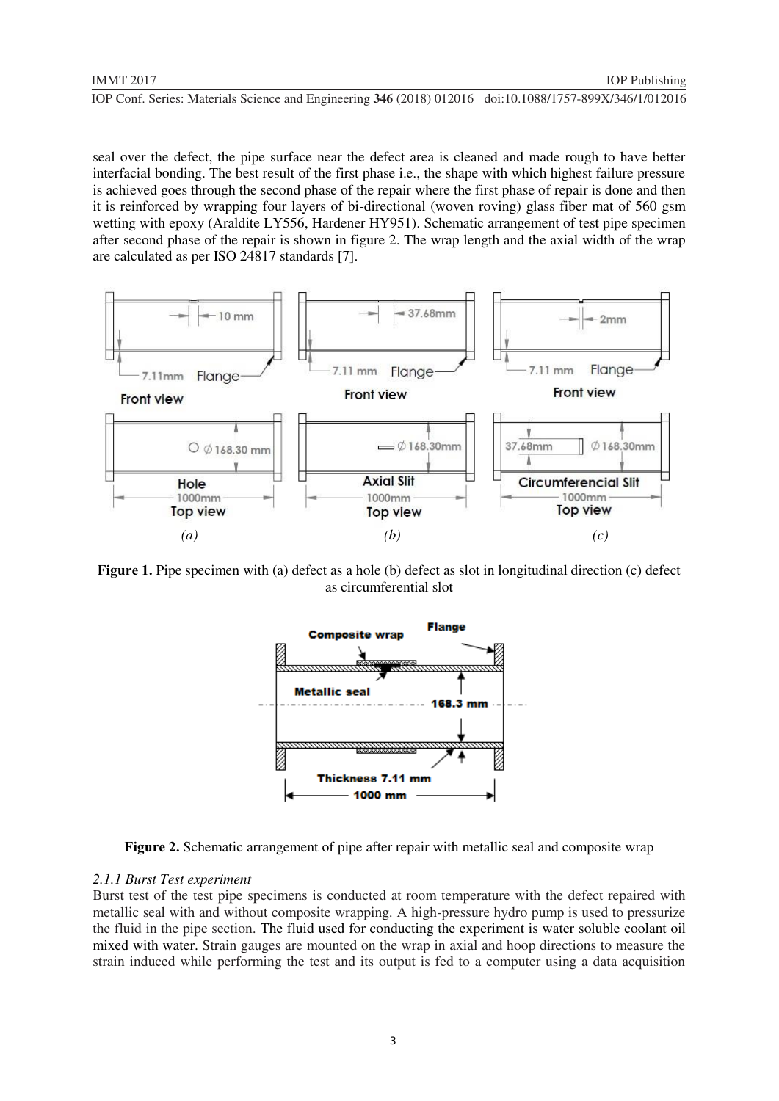seal over the defect, the pipe surface near the defect area is cleaned and made rough to have better interfacial bonding. The best result of the first phase i.e., the shape with which highest failure pressure is achieved goes through the second phase of the repair where the first phase of repair is done and then it is reinforced by wrapping four layers of bi-directional (woven roving) glass fiber mat of 560 gsm wetting with epoxy (Araldite LY556, Hardener HY951). Schematic arrangement of test pipe specimen after second phase of the repair is shown in figure 2. The wrap length and the axial width of the wrap are calculated as per ISO 24817 standards [7].



**Figure 1.** Pipe specimen with (a) defect as a hole (b) defect as slot in longitudinal direction (c) defect as circumferential slot



**Figure 2.** Schematic arrangement of pipe after repair with metallic seal and composite wrap

#### *2.1.1 Burst Test experiment*

Burst test of the test pipe specimens is conducted at room temperature with the defect repaired with metallic seal with and without composite wrapping. A high-pressure hydro pump is used to pressurize the fluid in the pipe section. The fluid used for conducting the experiment is water soluble coolant oil mixed with water. Strain gauges are mounted on the wrap in axial and hoop directions to measure the strain induced while performing the test and its output is fed to a computer using a data acquisition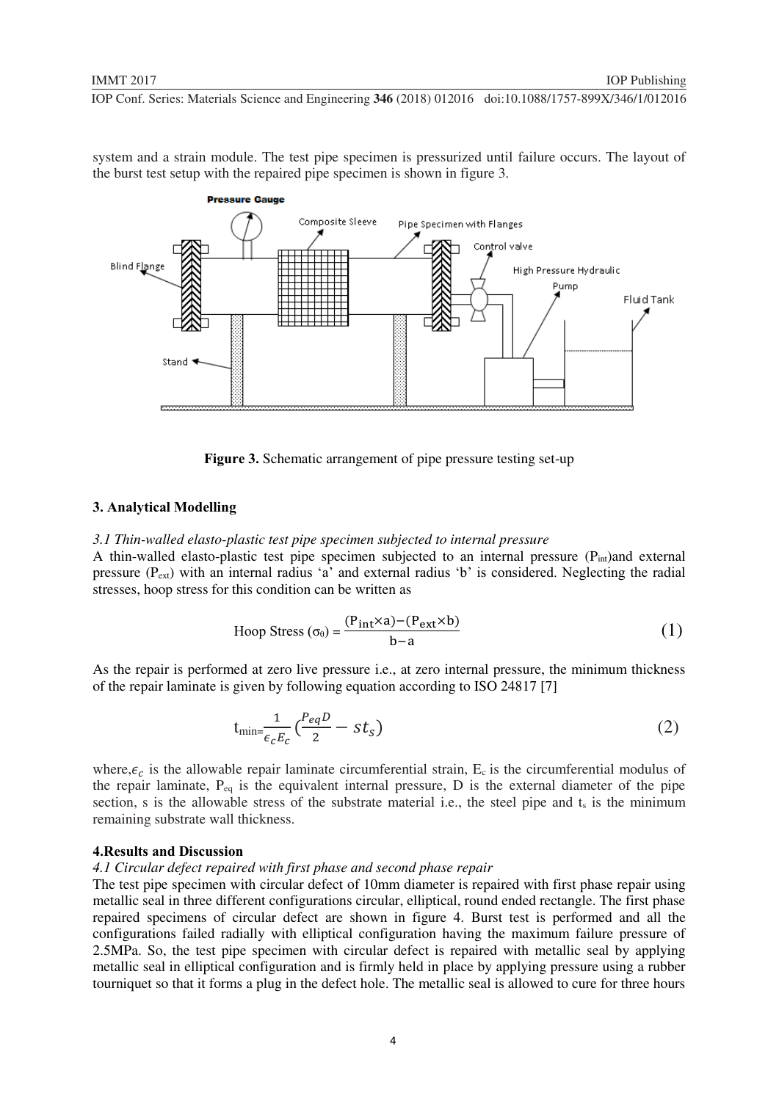system and a strain module. The test pipe specimen is pressurized until failure occurs. The layout of the burst test setup with the repaired pipe specimen is shown in figure 3.



**Figure 3.** Schematic arrangement of pipe pressure testing set-up

## **3. Analytical Modelling**

#### *3.1 Thin-walled elasto-plastic test pipe specimen subjected to internal pressure*

A thin-walled elasto-plastic test pipe specimen subjected to an internal pressure  $(P_{int})$ and external pressure  $(P_{ext})$  with an internal radius 'a' and external radius 'b' is considered. Neglecting the radial stresses, hoop stress for this condition can be written as

$$
\text{Hoop Stress}(\sigma_{\theta}) = \frac{(P_{int} \times a) - (P_{ext} \times b)}{b - a} \tag{1}
$$

As the repair is performed at zero live pressure i.e., at zero internal pressure, the minimum thickness of the repair laminate is given by following equation according to ISO 24817 [7]

$$
t_{\min} = \frac{1}{\epsilon_c E_c} \left( \frac{P_{eq}D}{2} - st_s \right) \tag{2}
$$

where,  $\epsilon_c$  is the allowable repair laminate circumferential strain,  $E_c$  is the circumferential modulus of the repair laminate,  $P_{eq}$  is the equivalent internal pressure, D is the external diameter of the pipe section, s is the allowable stress of the substrate material i.e., the steel pipe and  $t_s$  is the minimum remaining substrate wall thickness.

#### **4.Results and Discussion**

*4.1 Circular defect repaired with first phase and second phase repair* 

The test pipe specimen with circular defect of 10mm diameter is repaired with first phase repair using metallic seal in three different configurations circular, elliptical, round ended rectangle. The first phase repaired specimens of circular defect are shown in figure 4. Burst test is performed and all the configurations failed radially with elliptical configuration having the maximum failure pressure of 2.5MPa. So, the test pipe specimen with circular defect is repaired with metallic seal by applying metallic seal in elliptical configuration and is firmly held in place by applying pressure using a rubber tourniquet so that it forms a plug in the defect hole. The metallic seal is allowed to cure for three hours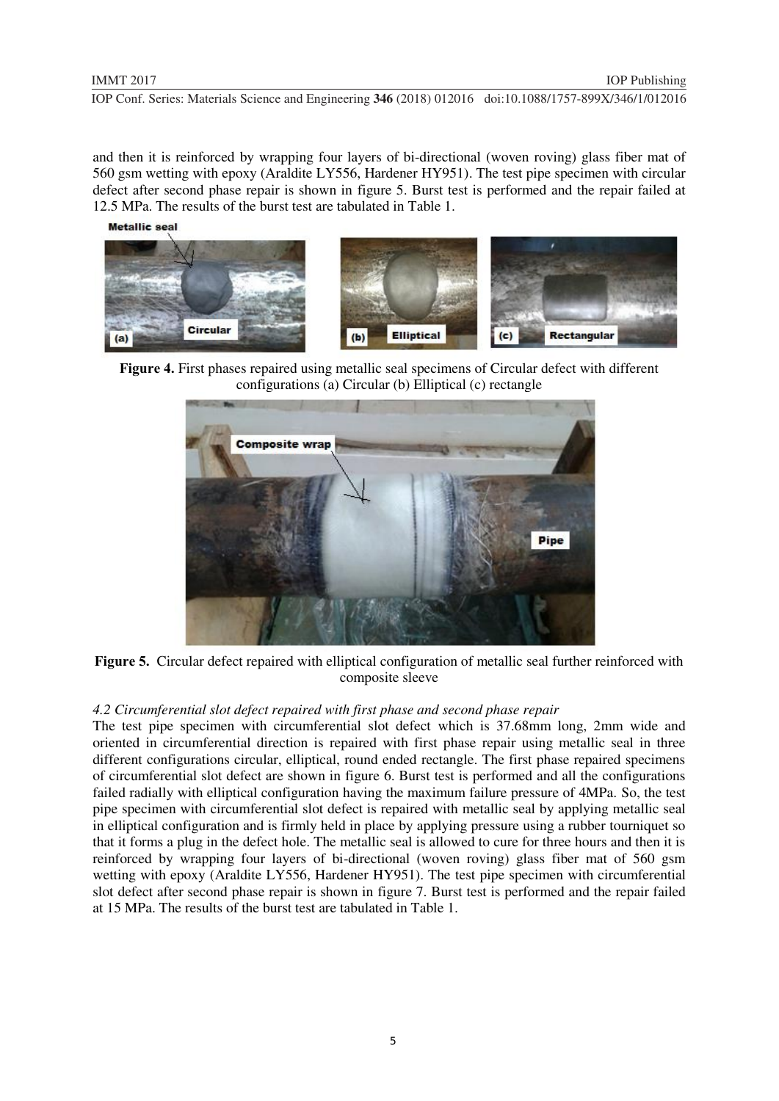and then it is reinforced by wrapping four layers of bi-directional (woven roving) glass fiber mat of 560 gsm wetting with epoxy (Araldite LY556, Hardener HY951). The test pipe specimen with circular defect after second phase repair is shown in figure 5. Burst test is performed and the repair failed at 12.5 MPa. The results of the burst test are tabulated in Table 1.

Metallic seal



**Figure 4.** First phases repaired using metallic seal specimens of Circular defect with different configurations (a) Circular (b) Elliptical (c) rectangle



**Figure 5.** Circular defect repaired with elliptical configuration of metallic seal further reinforced with composite sleeve

## *4.2 Circumferential slot defect repaired with first phase and second phase repair*

The test pipe specimen with circumferential slot defect which is 37.68mm long, 2mm wide and oriented in circumferential direction is repaired with first phase repair using metallic seal in three different configurations circular, elliptical, round ended rectangle. The first phase repaired specimens of circumferential slot defect are shown in figure 6. Burst test is performed and all the configurations failed radially with elliptical configuration having the maximum failure pressure of 4MPa. So, the test pipe specimen with circumferential slot defect is repaired with metallic seal by applying metallic seal in elliptical configuration and is firmly held in place by applying pressure using a rubber tourniquet so that it forms a plug in the defect hole. The metallic seal is allowed to cure for three hours and then it is reinforced by wrapping four layers of bi-directional (woven roving) glass fiber mat of 560 gsm wetting with epoxy (Araldite LY556, Hardener HY951). The test pipe specimen with circumferential slot defect after second phase repair is shown in figure 7. Burst test is performed and the repair failed at 15 MPa. The results of the burst test are tabulated in Table 1.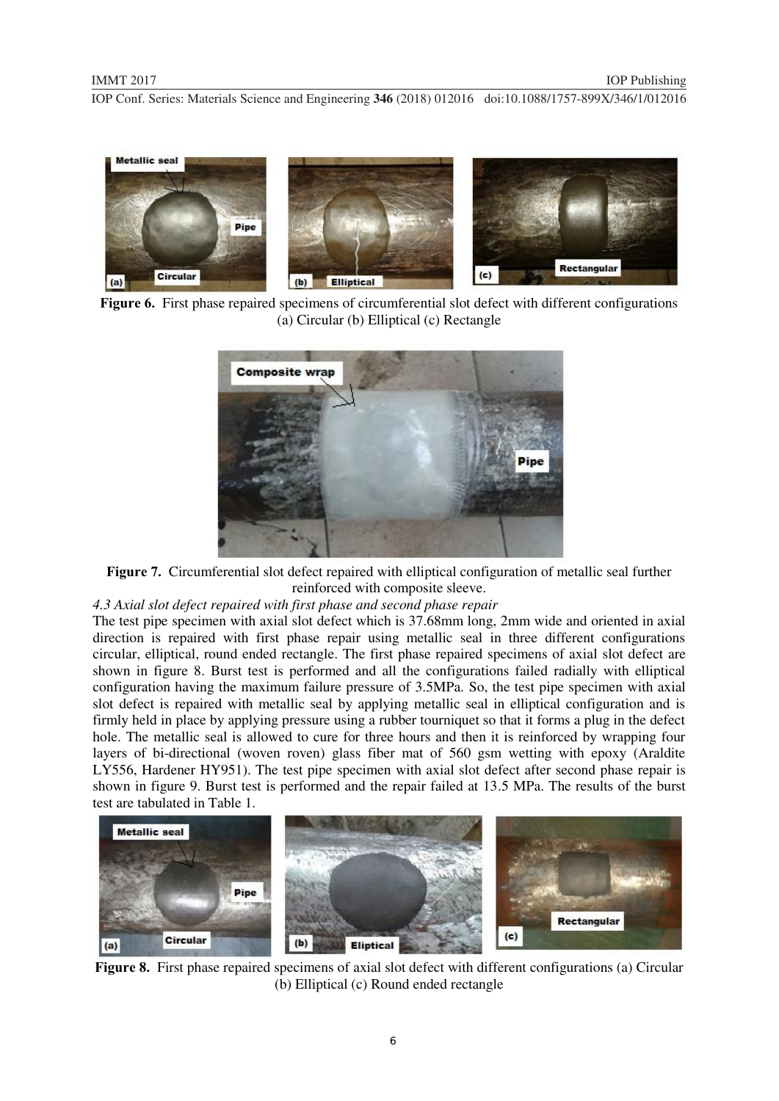

**Figure 6.** First phase repaired specimens of circumferential slot defect with different configurations (a) Circular (b) Elliptical (c) Rectangle



**Figure 7.** Circumferential slot defect repaired with elliptical configuration of metallic seal further reinforced with composite sleeve.

*4.3 Axial slot defect repaired with first phase and second phase repair* 

The test pipe specimen with axial slot defect which is 37.68mm long, 2mm wide and oriented in axial direction is repaired with first phase repair using metallic seal in three different configurations circular, elliptical, round ended rectangle. The first phase repaired specimens of axial slot defect are shown in figure 8. Burst test is performed and all the configurations failed radially with elliptical configuration having the maximum failure pressure of 3.5MPa. So, the test pipe specimen with axial slot defect is repaired with metallic seal by applying metallic seal in elliptical configuration and is firmly held in place by applying pressure using a rubber tourniquet so that it forms a plug in the defect hole. The metallic seal is allowed to cure for three hours and then it is reinforced by wrapping four layers of bi-directional (woven roven) glass fiber mat of 560 gsm wetting with epoxy (Araldite LY556, Hardener HY951). The test pipe specimen with axial slot defect after second phase repair is shown in figure 9. Burst test is performed and the repair failed at 13.5 MPa. The results of the burst test are tabulated in Table 1.



**Figure 8.** First phase repaired specimens of axial slot defect with different configurations (a) Circular (b) Elliptical (c) Round ended rectangle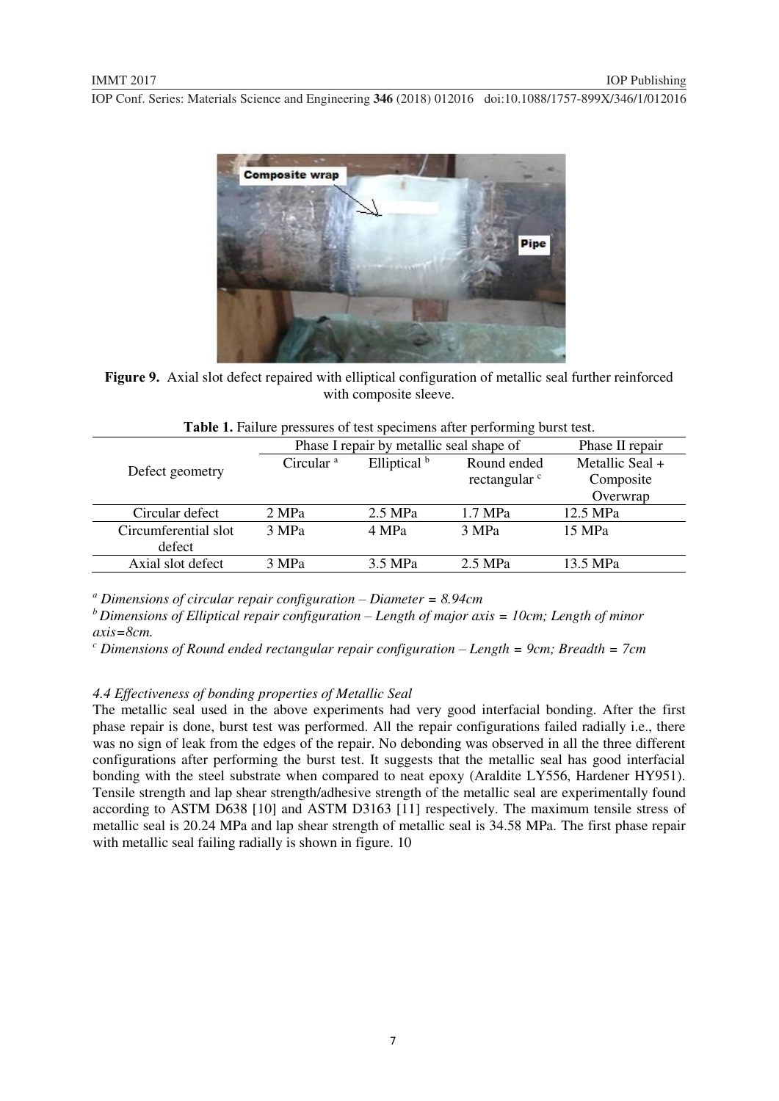

**Figure 9.** Axial slot defect repaired with elliptical configuration of metallic seal further reinforced with composite sleeve.

|                      | Phase I repair by metallic seal shape of | Phase II repair |                          |                 |  |
|----------------------|------------------------------------------|-----------------|--------------------------|-----------------|--|
| Defect geometry      | Circular <sup>a</sup>                    | Elliptical b    | Round ended              | Metallic Seal + |  |
|                      |                                          |                 | rectangular <sup>c</sup> | Composite       |  |
|                      |                                          |                 |                          | Overwrap        |  |
| Circular defect      | 2 MPa                                    | $2.5$ MPa       | $1.7$ MPa                | 12.5 MPa        |  |
| Circumferential slot | 3 MPa                                    | 4 MPa           | 3 MPa                    | 15 MPa          |  |
| defect               |                                          |                 |                          |                 |  |
| Axial slot defect    | 3 MPa                                    | 3.5 MPa         | 2.5 MPa                  | 13.5 MPa        |  |
|                      |                                          |                 |                          |                 |  |

|  |  | Table 1. Failure pressures of test specimens after performing burst test. |  |  |
|--|--|---------------------------------------------------------------------------|--|--|
|  |  |                                                                           |  |  |

*a Dimensions of circular repair configuration – Diameter = 8.94cm* 

*b Dimensions of Elliptical repair configuration – Length of major axis = 10cm; Length of minor axis=8cm.* 

*<sup>c</sup> Dimensions of Round ended rectangular repair configuration – Length = 9cm; Breadth = 7cm* 

#### *4.4 Effectiveness of bonding properties of Metallic Seal*

The metallic seal used in the above experiments had very good interfacial bonding. After the first phase repair is done, burst test was performed. All the repair configurations failed radially i.e., there was no sign of leak from the edges of the repair. No debonding was observed in all the three different configurations after performing the burst test. It suggests that the metallic seal has good interfacial bonding with the steel substrate when compared to neat epoxy (Araldite LY556, Hardener HY951). Tensile strength and lap shear strength/adhesive strength of the metallic seal are experimentally found according to ASTM D638 [10] and ASTM D3163 [11] respectively. The maximum tensile stress of metallic seal is 20.24 MPa and lap shear strength of metallic seal is 34.58 MPa. The first phase repair with metallic seal failing radially is shown in figure. 10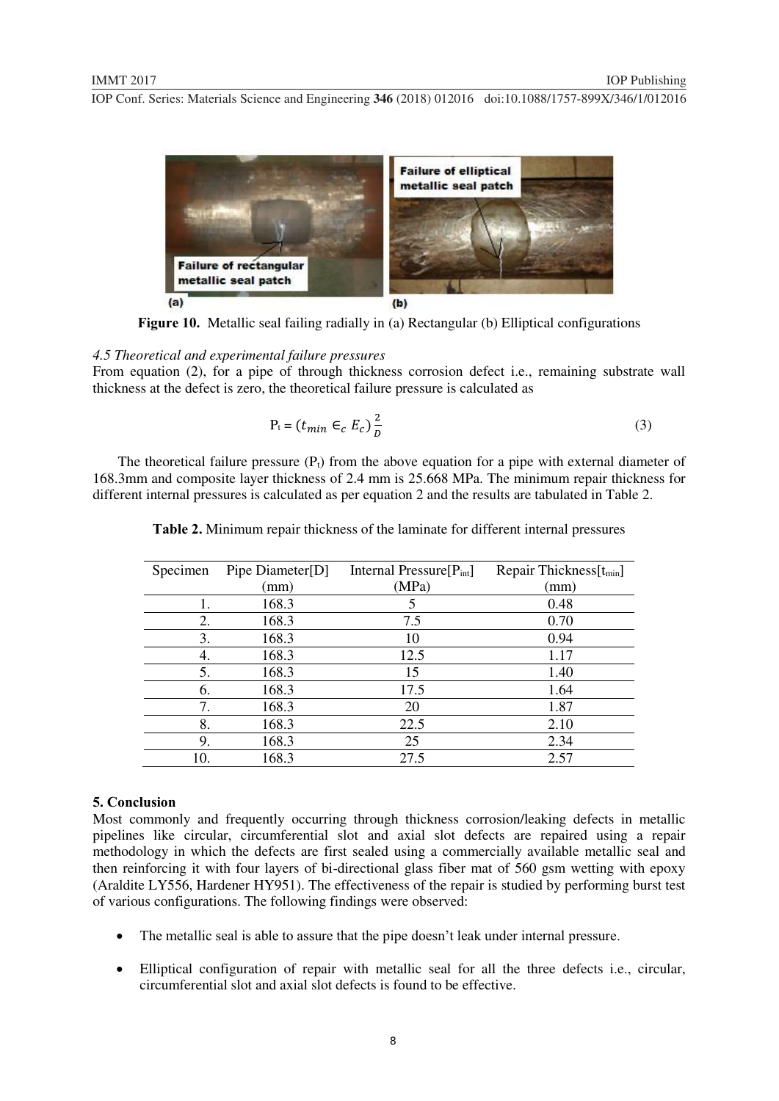

 $(a)$ 

**Figure 10.** Metallic seal failing radially in (a) Rectangular (b) Elliptical configurations

#### *4.5 Theoretical and experimental failure pressures*

From equation (2), for a pipe of through thickness corrosion defect i.e., remaining substrate wall thickness at the defect is zero, the theoretical failure pressure is calculated as

$$
P_t = (t_{min} \in_c E_c) \frac{2}{b}
$$
 (3)

The theoretical failure pressure  $(P_1)$  from the above equation for a pipe with external diameter of 168.3mm and composite layer thickness of 2.4 mm is 25.668 MPa. The minimum repair thickness for different internal pressures is calculated as per equation 2 and the results are tabulated in Table 2.

| Specimen | Pipe Diameter[D] | Internal Pressure $[P_{int}]$ | Repair Thickness[t <sub>min</sub> ] |
|----------|------------------|-------------------------------|-------------------------------------|
|          | (mm)             | (MPa)                         | (mm)                                |
|          | 168.3            | 5                             | 0.48                                |
| 2.       | 168.3            | 7.5                           | 0.70                                |
| 3.       | 168.3            | 10                            | 0.94                                |
| 4.       | 168.3            | 12.5                          | 1.17                                |
| 5.       | 168.3            | 15                            | 1.40                                |
| 6.       | 168.3            | 17.5                          | 1.64                                |
| 7.       | 168.3            | 20                            | 1.87                                |
| 8.       | 168.3            | 22.5                          | 2.10                                |
| 9.       | 168.3            | 25                            | 2.34                                |
| 10.      | 168.3            | 27.5                          | 2.57                                |
|          |                  |                               |                                     |

**Table 2.** Minimum repair thickness of the laminate for different internal pressures

#### **5. Conclusion**

Most commonly and frequently occurring through thickness corrosion/leaking defects in metallic pipelines like circular, circumferential slot and axial slot defects are repaired using a repair methodology in which the defects are first sealed using a commercially available metallic seal and then reinforcing it with four layers of bi-directional glass fiber mat of 560 gsm wetting with epoxy (Araldite LY556, Hardener HY951). The effectiveness of the repair is studied by performing burst test of various configurations. The following findings were observed:

- The metallic seal is able to assure that the pipe doesn't leak under internal pressure.
- Elliptical configuration of repair with metallic seal for all the three defects i.e., circular, circumferential slot and axial slot defects is found to be effective.